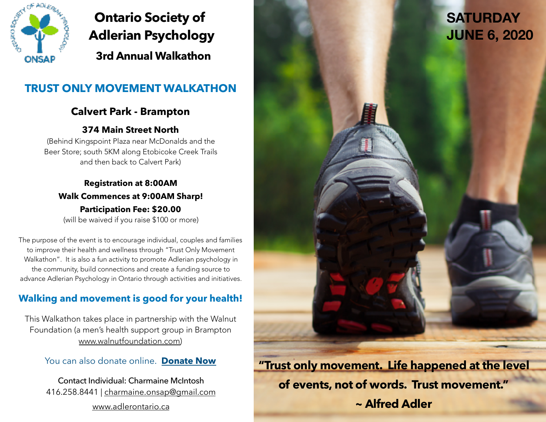

# **Ontario Society of Adlerian Psychology 3rd Annual Walkathon**

# **TRUST ONLY MOVEMENT WALKATHON**

# **Calvert Park - Brampton**

## **374 Main Street North**

(Behind Kingspoint Plaza near McDonalds and the Beer Store; south 5KM along Etobicoke Creek Trails and then back to Calvert Park)

### **Registration at 8:00AM Walk Commences at 9:00AM Sharp! Participation Fee: \$20.00**  (will be waived if you raise \$100 or more)

The purpose of the event is to encourage individual, couples and families to improve their health and wellness through "Trust Only Movement Walkathon". It is also a fun activity to promote Adlerian psychology in the community, build connections and create a funding source to advance Adlerian Psychology in Ontario through activities and initiatives.

# **Walking and movement is good for your health!**

This Walkathon takes place in partnership with the Walnut Foundation (a men's health support group in Brampton [www.walnutfoundation.com\)](http://www.walnutfoundation.com)

#### You can also donate online. **[Donate Now](http://www.onsap.ca/index.cfm?page=donate)**

Contact Individual: Charmaine McIntosh 416.258.8441 | [charmaine.onsap@gmail.com](mailto:charmaine.onsap@gmail.com) [www.adlerontario.ca](http://www.adlerontario.ca)

**"Trust only movement. Life happened at the level of events, not of words. Trust movement." ~ Alfred Adler**

# **SATURDAY JUNE 6, 2020**